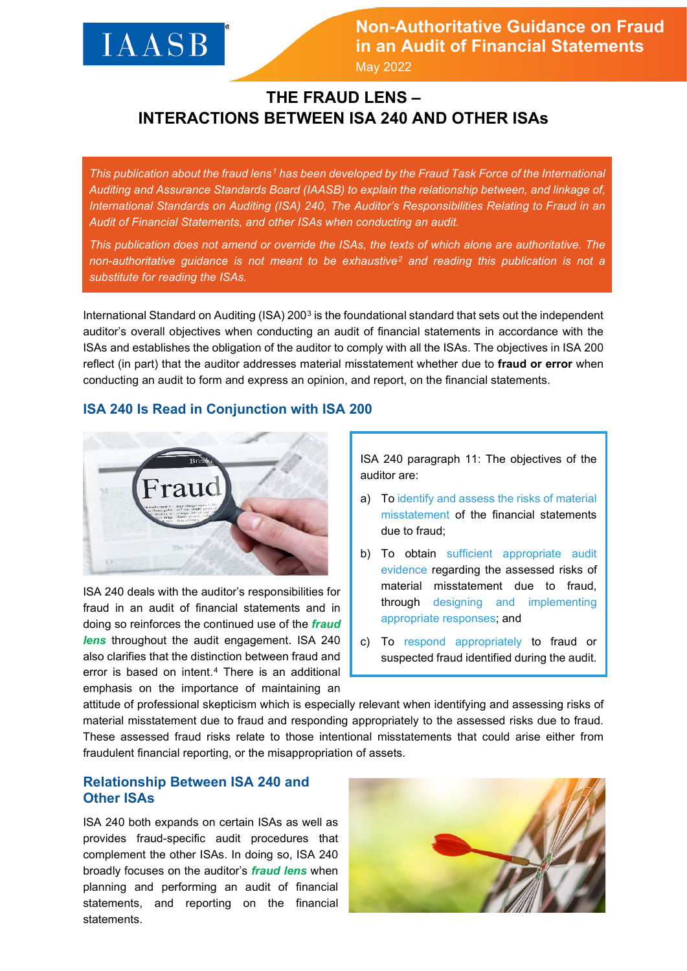# **IAASB**

**Non-Authoritative Guidance on Fraud in an Audit of Financial Statements** May 2022

**THE FRAUD LENS – INTERACTIONS BETWEEN ISA 240 AND OTHER ISAs** 

*This publication about the fraud lens[1](#page-3-0) has been developed by the Fraud Task Force of the International Auditing and Assurance Standards Board (IAASB) to explain the relationship between, and linkage of, International Standards on Auditing (ISA) 240, The Auditor's Responsibilities Relating to Fraud in an Audit of Financial Statements, and other ISAs when conducting an audit.* 

*This publication does not amend or override the ISAs, the texts of which alone are authoritative. The non-authoritative guidance is not meant to be exhaustive[2](#page-3-1) and reading this publication is not a substitute for reading the ISAs.* 

International Standard on Auditing (ISA) 200[3](#page-3-2) is the foundational standard that sets out the independent auditor's overall objectives when conducting an audit of financial statements in accordance with the ISAs and establishes the obligation of the auditor to comply with all the ISAs. The objectives in ISA 200 reflect (in part) that the auditor addresses material misstatement whether due to **fraud or error** when conducting an audit to form and express an opinion, and report, on the financial statements.

## **ISA 240 Is Read in Conjunction with ISA 200**



ISA 240 deals with the auditor's responsibilities for fraud in an audit of financial statements and in doing so reinforces the continued use of the *fraud lens* throughout the audit engagement. ISA 240 also clarifies that the distinction between fraud and error is based on intent.[4](#page-3-3) There is an additional emphasis on the importance of maintaining an

ISA 240 paragraph 11: The objectives of the auditor are:

- a) To identify and assess the risks of material misstatement of the financial statements due to fraud;
- b) To obtain sufficient appropriate audit evidence regarding the assessed risks of material misstatement due to fraud, through designing and implementing appropriate responses; and
- c) To respond appropriately to fraud or suspected fraud identified during the audit.

attitude of professional skepticism which is especially relevant when identifying and assessing risks of material misstatement due to fraud and responding appropriately to the assessed risks due to fraud. These assessed fraud risks relate to those intentional misstatements that could arise either from fraudulent financial reporting, or the misappropriation of assets.

## **Relationship Between ISA 240 and Other ISAs**

ISA 240 both expands on certain ISAs as well as provides fraud-specific audit procedures that complement the other ISAs. In doing so, ISA 240 broadly focuses on the auditor's *fraud lens* when planning and performing an audit of financial statements, and reporting on the financial statements.

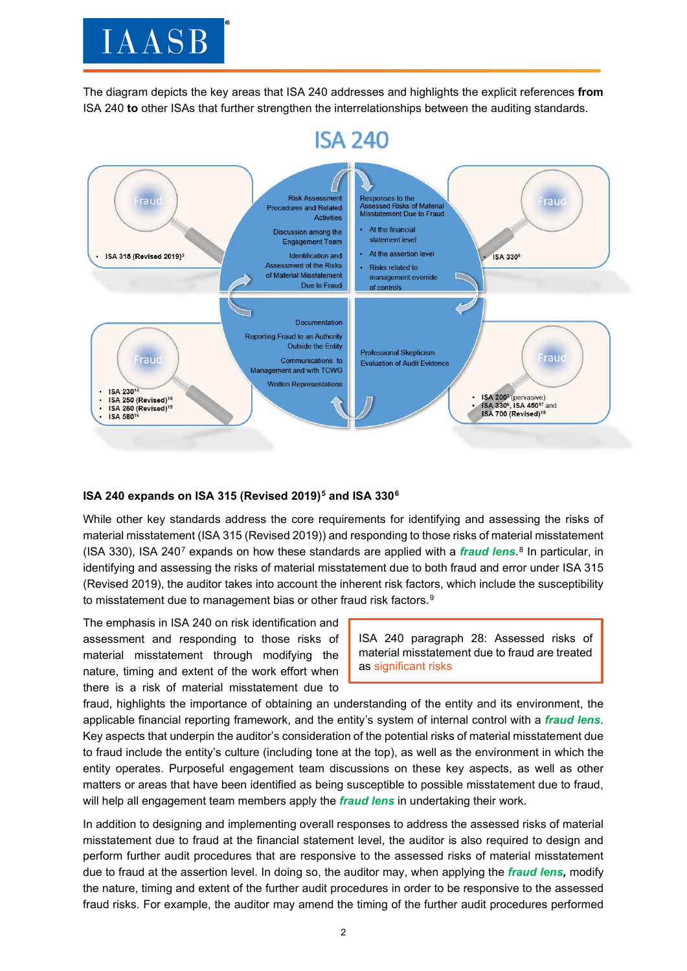# **IAASB**

The diagram depicts the key areas that ISA 240 addresses and highlights the explicit references **from** ISA 240 **to** other ISAs that further strengthen the interrelationships between the auditing standards.



### **ISA 240 expands on ISA 315 (Revised 2019)[5](#page-3-4) and ISA 330[6](#page-3-5)**

While other key standards address the core requirements for identifying and assessing the risks of material misstatement (ISA 315 (Revised 2019)) and responding to those risks of material misstatement (ISA 330), ISA 240[7](#page-3-6) expands on how these standards are applied with a *fraud lens*.[8](#page-3-7) In particular, in identifying and assessing the risks of material misstatement due to both fraud and error under ISA 315 (Revised 2019), the auditor takes into account the inherent risk factors, which include the susceptibility to misstatement due to management bias or other fraud risk factors.<sup>[9](#page-3-8)</sup>

The emphasis in ISA 240 on risk identification and assessment and responding to those risks of material misstatement through modifying the nature, timing and extent of the work effort when there is a risk of material misstatement due to

ISA 240 paragraph 28: Assessed risks of material misstatement due to fraud are treated as significant risks

fraud, highlights the importance of obtaining an understanding of the entity and its environment, the applicable financial reporting framework, and the entity's system of internal control with a *fraud lens*. Key aspects that underpin the auditor's consideration of the potential risks of material misstatement due to fraud include the entity's culture (including tone at the top), as well as the environment in which the entity operates. Purposeful engagement team discussions on these key aspects, as well as other matters or areas that have been identified as being susceptible to possible misstatement due to fraud, will help all engagement team members apply the *fraud lens* in undertaking their work.

In addition to designing and implementing overall responses to address the assessed risks of material misstatement due to fraud at the financial statement level, the auditor is also required to design and perform further audit procedures that are responsive to the assessed risks of material misstatement due to fraud at the assertion level. In doing so, the auditor may, when applying the *fraud lens,* modify the nature, timing and extent of the further audit procedures in order to be responsive to the assessed fraud risks. For example, the auditor may amend the timing of the further audit procedures performed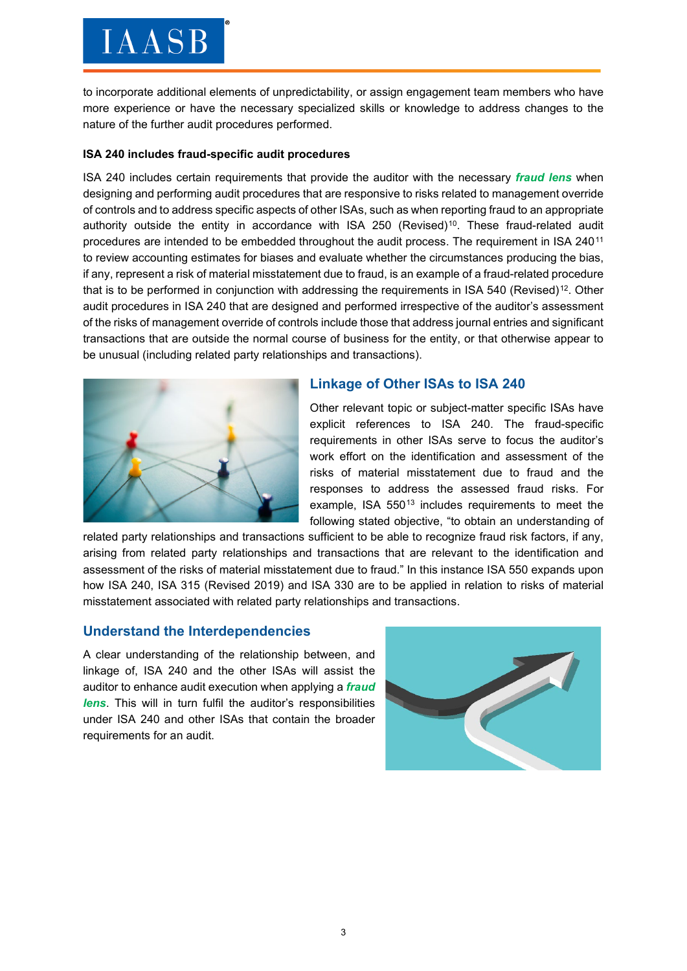# **IAASB**

to incorporate additional elements of unpredictability, or assign engagement team members who have more experience or have the necessary specialized skills or knowledge to address changes to the nature of the further audit procedures performed.

#### **ISA 240 includes fraud-specific audit procedures**

ISA 240 includes certain requirements that provide the auditor with the necessary *fraud lens* when designing and performing audit procedures that are responsive to risks related to management override of controls and to address specific aspects of other ISAs, such as when reporting fraud to an appropriate authority outside the entity in accordance with ISA 250 (Revised)<sup>[10](#page-3-9)</sup>. These fraud-related audit procedures are intended to be embedded throughout the audit process. The requirement in ISA 240[11](#page-3-10) to review accounting estimates for biases and evaluate whether the circumstances producing the bias, if any, represent a risk of material misstatement due to fraud, is an example of a fraud-related procedure that is to be performed in conjunction with addressing the requirements in ISA 540 (Revised)<sup>12</sup>. Other audit procedures in ISA 240 that are designed and performed irrespective of the auditor's assessment of the risks of management override of controls include those that address journal entries and significant transactions that are outside the normal course of business for the entity, or that otherwise appear to be unusual (including related party relationships and transactions).



# **Linkage of Other ISAs to ISA 240**

Other relevant topic or subject-matter specific ISAs have explicit references to ISA 240. The fraud-specific requirements in other ISAs serve to focus the auditor's work effort on the identification and assessment of the risks of material misstatement due to fraud and the responses to address the assessed fraud risks. For example, ISA  $550^{13}$  $550^{13}$  $550^{13}$  includes requirements to meet the following stated objective, "to obtain an understanding of

related party relationships and transactions sufficient to be able to recognize fraud risk factors, if any, arising from related party relationships and transactions that are relevant to the identification and assessment of the risks of material misstatement due to fraud." In this instance ISA 550 expands upon how ISA 240, ISA 315 (Revised 2019) and ISA 330 are to be applied in relation to risks of material misstatement associated with related party relationships and transactions.

# **Understand the Interdependencies**

A clear understanding of the relationship between, and linkage of, ISA 240 and the other ISAs will assist the auditor to enhance audit execution when applying a *fraud lens*. This will in turn fulfil the auditor's responsibilities under ISA 240 and other ISAs that contain the broader requirements for an audit.

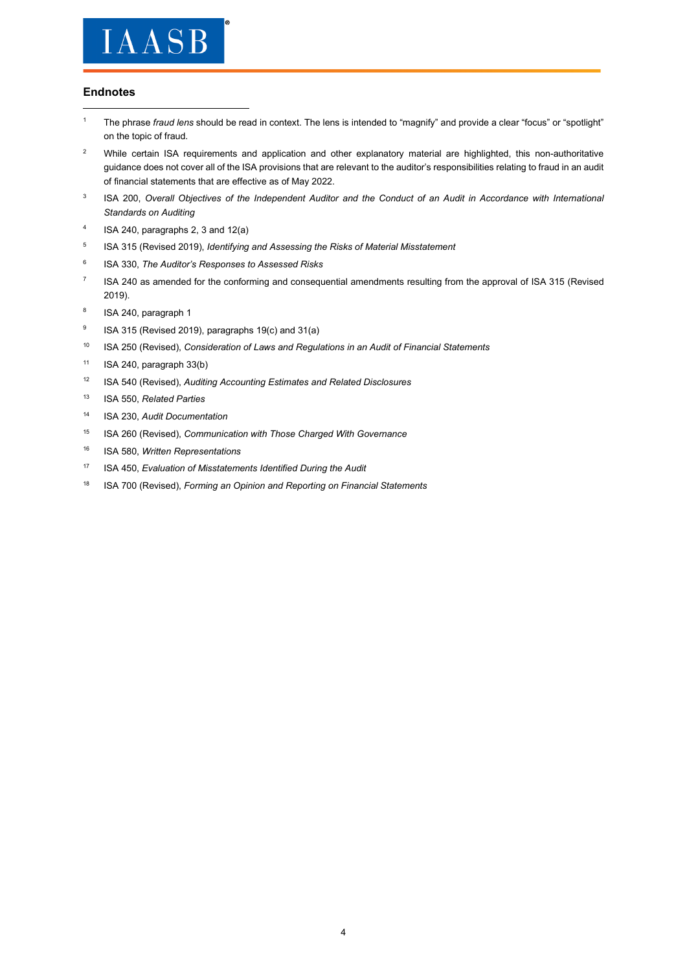

#### **Endnotes**

- <span id="page-3-0"></span><sup>1</sup> The phrase *fraud lens* should be read in context. The lens is intended to "magnify" and provide a clear "focus" or "spotlight" on the topic of fraud.
- <span id="page-3-1"></span><sup>2</sup> While certain ISA requirements and application and other explanatory material are highlighted, this non-authoritative guidance does not cover all of the ISA provisions that are relevant to the auditor's responsibilities relating to fraud in an audit of financial statements that are effective as of May 2022.
- <span id="page-3-2"></span><sup>3</sup> ISA 200, Overall Objectives of the Independent Auditor and the Conduct of an Audit in Accordance with International *Standards on Auditing*
- <span id="page-3-3"></span><sup>4</sup> ISA 240, paragraphs 2, 3 and 12(a)
- <span id="page-3-4"></span><sup>5</sup> ISA 315 (Revised 2019), *Identifying and Assessing the Risks of Material Misstatement*
- <span id="page-3-5"></span><sup>6</sup> ISA 330, *The Auditor's Responses to Assessed Risks*
- <span id="page-3-6"></span><sup>7</sup> ISA 240 as amended for the conforming and consequential amendments resulting from the approval of ISA 315 (Revised 2019).
- <span id="page-3-7"></span><sup>8</sup> ISA 240, paragraph 1
- <span id="page-3-8"></span><sup>9</sup> ISA 315 (Revised 2019), paragraphs 19(c) and 31(a)
- <span id="page-3-9"></span><sup>10</sup> ISA 250 (Revised), *Consideration of Laws and Regulations in an Audit of Financial Statements*
- <span id="page-3-10"></span> $11$  ISA 240, paragraph 33(b)
- <span id="page-3-11"></span><sup>12</sup> ISA 540 (Revised), *Auditing Accounting Estimates and Related Disclosures*
- <span id="page-3-12"></span><sup>13</sup> ISA 550, *Related Parties*
- <sup>14</sup> ISA 230, *Audit Documentation*
- <sup>15</sup> ISA 260 (Revised), *Communication with Those Charged With Governance*
- <sup>16</sup> ISA 580, *Written Representations*
- <sup>17</sup> ISA 450, *Evaluation of Misstatements Identified During the Audit*
- <sup>18</sup> ISA 700 (Revised), *Forming an Opinion and Reporting on Financial Statements*